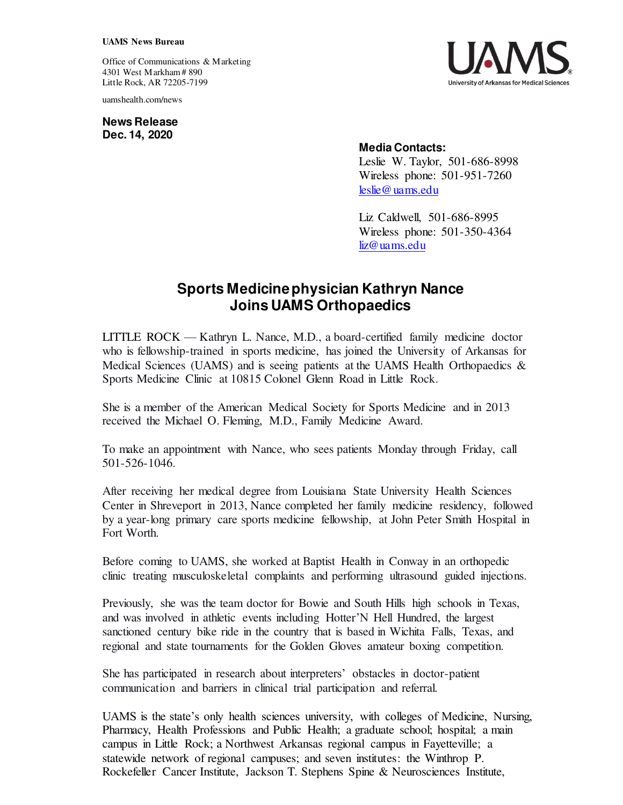## **UAMS News Bureau**

Office of Communications & Marketing 4301 West Markham # 890 Little Rock, AR 72205-7199

uamshealth.com/news

**News Release Dec. 14, 2020**



## **Media Contacts:**

Leslie W. Taylor, 501-686-8998 Wireless phone: 501-951-7260 [leslie@uams.edu](mailto:leslie@uams.edu)

Liz Caldwell, 501-686-8995 Wireless phone: 501-350-4364 [liz@uams.edu](mailto:liz@uams.edu)

## **Sports Medicine physician Kathryn Nance Joins UAMS Orthopaedics**

LITTLE ROCK — Kathryn L. Nance, M.D., a board-certified family medicine doctor who is fellowship-trained in sports medicine, has joined the University of Arkansas for Medical Sciences (UAMS) and is seeing patients at the UAMS Health Orthopaedics  $\&$ Sports Medicine Clinic at 10815 Colonel Glenn Road in Little Rock.

She is a member of the American Medical Society for Sports Medicine and in 2013 received the Michael O. Fleming, M.D., Family Medicine Award.

To make an appointment with Nance, who sees patients Monday through Friday, call 501-526-1046.

After receiving her medical degree from Louisiana State University Health Sciences Center in Shreveport in 2013, Nance completed her family medicine residency, followed by a year-long primary care sports medicine fellowship, at John Peter Smith Hospital in Fort Worth.

Before coming to UAMS, she worked at Baptist Health in Conway in an orthopedic clinic treating musculoskeletal complaints and performing ultrasound guided injections.

Previously, she was the team doctor for Bowie and South Hills high schools in Texas, and was involved in athletic events including Hotter'N Hell Hundred, the largest sanctioned century bike ride in the country that is based in Wichita Falls, Texas, and regional and state tournaments for the Golden Gloves amateur boxing competition.

She has participated in research about interpreters' obstacles in doctor-patient communication and barriers in clinical trial participation and referral.

UAMS is the state's only health sciences university, with colleges of Medicine, Nursing, Pharmacy, Health Professions and Public Health; a graduate school; hospital; a main campus in Little Rock; a Northwest Arkansas regional campus in Fayetteville; a statewide network of regional campuses; and seven institutes: the Winthrop P. Rockefeller Cancer Institute, Jackson T. Stephens Spine & Neurosciences Institute,